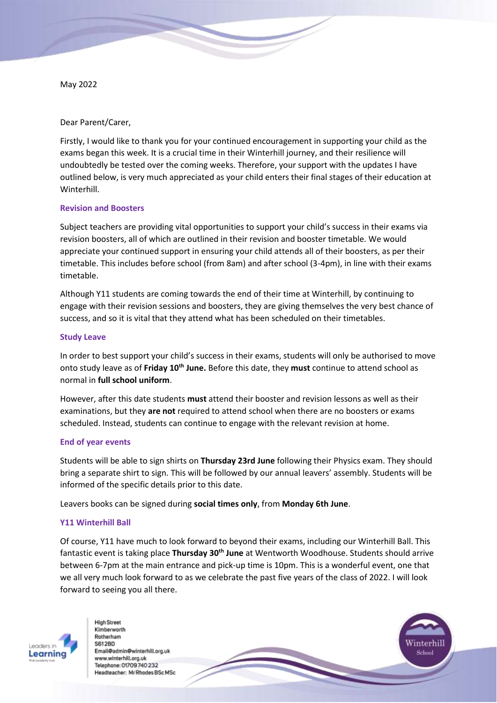May 2022

Dear Parent/Carer,

Firstly, I would like to thank you for your continued encouragement in supporting your child as the exams began this week. It is a crucial time in their Winterhill journey, and their resilience will undoubtedly be tested over the coming weeks. Therefore, your support with the updates I have outlined below, is very much appreciated as your child enters their final stages of their education at **Winterhill** 

# **Revision and Boosters**

Subject teachers are providing vital opportunities to support your child's success in their exams via revision boosters, all of which are outlined in their revision and booster timetable. We would appreciate your continued support in ensuring your child attends all of their boosters, as per their timetable. This includes before school (from 8am) and after school (3-4pm), in line with their exams timetable.

Although Y11 students are coming towards the end of their time at Winterhill, by continuing to engage with their revision sessions and boosters, they are giving themselves the very best chance of success, and so it is vital that they attend what has been scheduled on their timetables.

### **Study Leave**

In order to best support your child's success in their exams, students will only be authorised to move onto study leave as of **Friday 10th June.** Before this date, they **must** continue to attend school as normal in **full school uniform**.

However, after this date students **must** attend their booster and revision lessons as well as their examinations, but they **are not** required to attend school when there are no boosters or exams scheduled. Instead, students can continue to engage with the relevant revision at home.

### **End of year events**

Students will be able to sign shirts on **Thursday 23rd June** following their Physics exam. They should bring a separate shirt to sign. This will be followed by our annual leavers' assembly. Students will be informed of the specific details prior to this date.

Leavers books can be signed during **social times only**, from **Monday 6th June**.

# **Y11 Winterhill Ball**

Of course, Y11 have much to look forward to beyond their exams, including our Winterhill Ball. This fantastic event is taking place **Thursday 30th June** at Wentworth Woodhouse. Students should arrive between 6-7pm at the main entrance and pick-up time is 10pm. This is a wonderful event, one that we all very much look forward to as we celebrate the past five years of the class of 2022. I will look forward to seeing you all there.



Kimberworth Rotherham **S612BD** Email@admin@winterhilLorg.uk www.winterhill.org.uk Telephone: 01709 740 232 Headteacher: Mr Rhodes BSc MSc

**High Street**